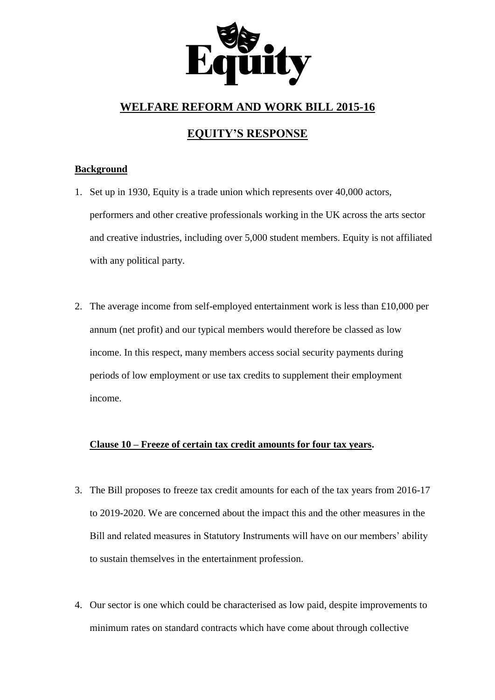

# **WELFARE REFORM AND WORK BILL 2015-16**

# **EQUITY'S RESPONSE**

## **Background**

- 1. Set up in 1930, Equity is a trade union which represents over 40,000 actors, performers and other creative professionals working in the UK across the arts sector and creative industries, including over 5,000 student members. Equity is not affiliated with any political party.
- 2. The average income from self-employed entertainment work is less than £10,000 per annum (net profit) and our typical members would therefore be classed as low income. In this respect, many members access social security payments during periods of low employment or use tax credits to supplement their employment income.

### **Clause 10 – Freeze of certain tax credit amounts for four tax years.**

- 3. The Bill proposes to freeze tax credit amounts for each of the tax years from 2016-17 to 2019-2020. We are concerned about the impact this and the other measures in the Bill and related measures in Statutory Instruments will have on our members' ability to sustain themselves in the entertainment profession.
- 4. Our sector is one which could be characterised as low paid, despite improvements to minimum rates on standard contracts which have come about through collective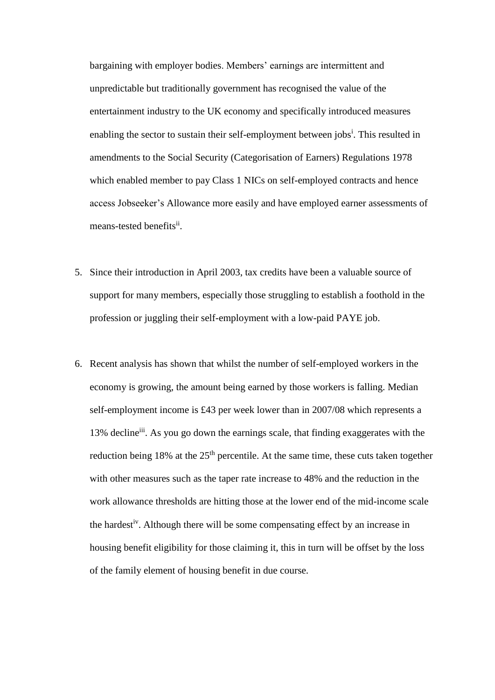bargaining with employer bodies. Members' earnings are intermittent and unpredictable but traditionally government has recognised the value of the entertainment industry to the UK economy and specifically introduced measures enabling the sector to sustain their self-employment between jobs<sup>i</sup>. This resulted in amendments to the Social Security (Categorisation of Earners) Regulations 1978 which enabled member to pay Class 1 NICs on self-employed contracts and hence access Jobseeker's Allowance more easily and have employed earner assessments of means-tested benefits<sup>ii</sup>.

- 5. Since their introduction in April 2003, tax credits have been a valuable source of support for many members, especially those struggling to establish a foothold in the profession or juggling their self-employment with a low-paid PAYE job.
- 6. Recent analysis has shown that whilst the number of self-employed workers in the economy is growing, the amount being earned by those workers is falling. Median self-employment income is £43 per week lower than in 2007/08 which represents a 13% decline<sup>iii</sup>. As you go down the earnings scale, that finding exaggerates with the reduction being  $18\%$  at the  $25<sup>th</sup>$  percentile. At the same time, these cuts taken together with other measures such as the taper rate increase to 48% and the reduction in the work allowance thresholds are hitting those at the lower end of the mid-income scale the hardest<sup>iv</sup>. Although there will be some compensating effect by an increase in housing benefit eligibility for those claiming it, this in turn will be offset by the loss of the family element of housing benefit in due course.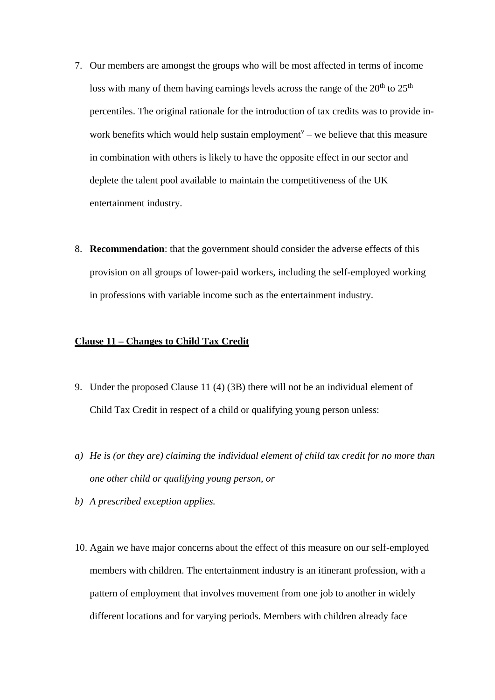- 7. Our members are amongst the groups who will be most affected in terms of income loss with many of them having earnings levels across the range of the  $20<sup>th</sup>$  to  $25<sup>th</sup>$ percentiles. The original rationale for the introduction of tax credits was to provide inwork benefits which would help sustain employment<sup> $v$ </sup> – we believe that this measure in combination with others is likely to have the opposite effect in our sector and deplete the talent pool available to maintain the competitiveness of the UK entertainment industry.
- 8. **Recommendation**: that the government should consider the adverse effects of this provision on all groups of lower-paid workers, including the self-employed working in professions with variable income such as the entertainment industry.

### **Clause 11 – Changes to Child Tax Credit**

- 9. Under the proposed Clause 11 (4) (3B) there will not be an individual element of Child Tax Credit in respect of a child or qualifying young person unless:
- *a) He is (or they are) claiming the individual element of child tax credit for no more than one other child or qualifying young person, or*
- *b) A prescribed exception applies.*
- 10. Again we have major concerns about the effect of this measure on our self-employed members with children. The entertainment industry is an itinerant profession, with a pattern of employment that involves movement from one job to another in widely different locations and for varying periods. Members with children already face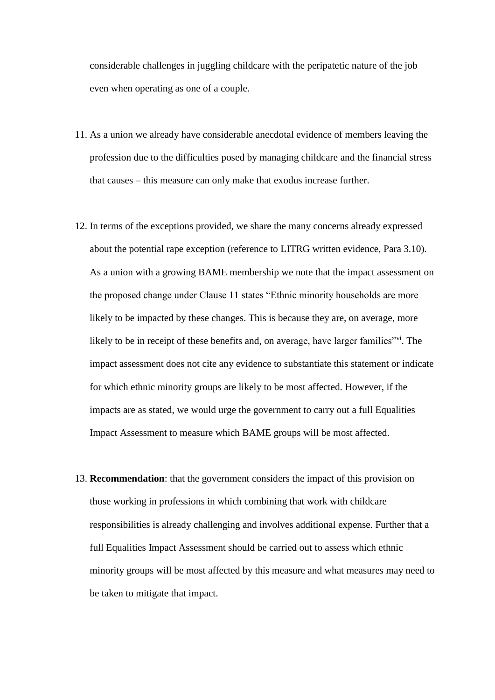considerable challenges in juggling childcare with the peripatetic nature of the job even when operating as one of a couple.

- 11. As a union we already have considerable anecdotal evidence of members leaving the profession due to the difficulties posed by managing childcare and the financial stress that causes – this measure can only make that exodus increase further.
- 12. In terms of the exceptions provided, we share the many concerns already expressed about the potential rape exception (reference to LITRG written evidence, Para 3.10). As a union with a growing BAME membership we note that the impact assessment on the proposed change under Clause 11 states "Ethnic minority households are more likely to be impacted by these changes. This is because they are, on average, more likely to be in receipt of these benefits and, on average, have larger families<sup>"vi</sup>. The impact assessment does not cite any evidence to substantiate this statement or indicate for which ethnic minority groups are likely to be most affected. However, if the impacts are as stated, we would urge the government to carry out a full Equalities Impact Assessment to measure which BAME groups will be most affected.
- 13. **Recommendation**: that the government considers the impact of this provision on those working in professions in which combining that work with childcare responsibilities is already challenging and involves additional expense. Further that a full Equalities Impact Assessment should be carried out to assess which ethnic minority groups will be most affected by this measure and what measures may need to be taken to mitigate that impact.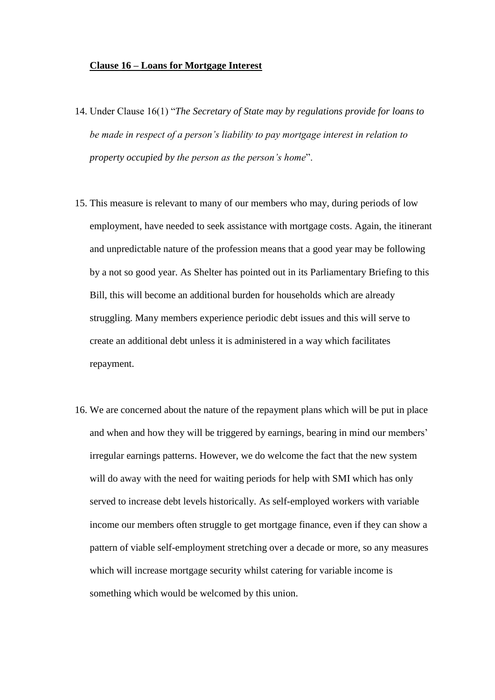#### **Clause 16 – Loans for Mortgage Interest**

- 14. Under Clause 16(1) "*The Secretary of State may by regulations provide for loans to be made in respect of a person's liability to pay mortgage interest in relation to property occupied by the person as the person's home*".
- 15. This measure is relevant to many of our members who may, during periods of low employment, have needed to seek assistance with mortgage costs. Again, the itinerant and unpredictable nature of the profession means that a good year may be following by a not so good year. As Shelter has pointed out in its Parliamentary Briefing to this Bill, this will become an additional burden for households which are already struggling. Many members experience periodic debt issues and this will serve to create an additional debt unless it is administered in a way which facilitates repayment.
- 16. We are concerned about the nature of the repayment plans which will be put in place and when and how they will be triggered by earnings, bearing in mind our members' irregular earnings patterns. However, we do welcome the fact that the new system will do away with the need for waiting periods for help with SMI which has only served to increase debt levels historically. As self-employed workers with variable income our members often struggle to get mortgage finance, even if they can show a pattern of viable self-employment stretching over a decade or more, so any measures which will increase mortgage security whilst catering for variable income is something which would be welcomed by this union.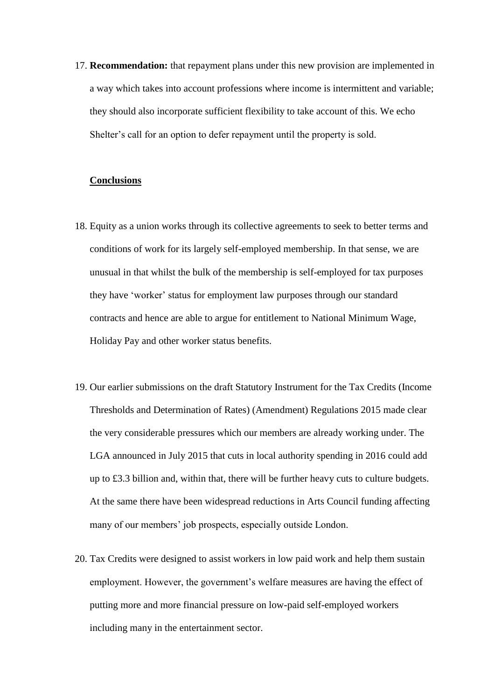17. **Recommendation:** that repayment plans under this new provision are implemented in a way which takes into account professions where income is intermittent and variable; they should also incorporate sufficient flexibility to take account of this. We echo Shelter's call for an option to defer repayment until the property is sold.

#### **Conclusions**

- 18. Equity as a union works through its collective agreements to seek to better terms and conditions of work for its largely self-employed membership. In that sense, we are unusual in that whilst the bulk of the membership is self-employed for tax purposes they have 'worker' status for employment law purposes through our standard contracts and hence are able to argue for entitlement to National Minimum Wage, Holiday Pay and other worker status benefits.
- 19. Our earlier submissions on the draft Statutory Instrument for the Tax Credits (Income Thresholds and Determination of Rates) (Amendment) Regulations 2015 made clear the very considerable pressures which our members are already working under. The LGA announced in July 2015 that cuts in local authority spending in 2016 could add up to £3.3 billion and, within that, there will be further heavy cuts to culture budgets. At the same there have been widespread reductions in Arts Council funding affecting many of our members' job prospects, especially outside London.
- 20. Tax Credits were designed to assist workers in low paid work and help them sustain employment. However, the government's welfare measures are having the effect of putting more and more financial pressure on low-paid self-employed workers including many in the entertainment sector.